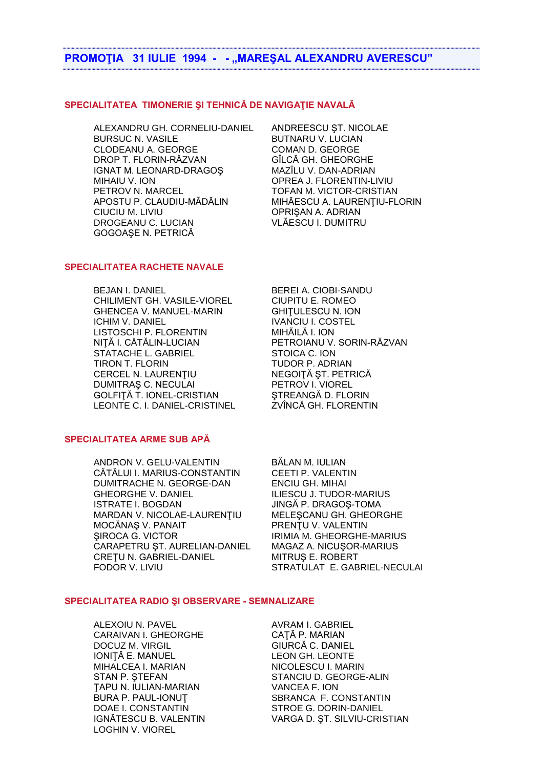# **PROMOŢIA 31 IULIE 1994 - - "MAREŞAL ALEXANDRU AVERESCU"**

## **SPECIALITATEA TIMONERIE ŞI TEHNICĂ DE NAVIGAŢIE NAVALĂ**

ALEXANDRU GH. CORNELIU-DANIEL ANDREESCU ŞT. NICOLAE BURSUC N. VASILE BUTNARU V. LUCIAN CLODEANU A. GEORGE COMAN D. GEORGE DROP T. FLORIN-RĂZVAN GÎLCĂ GH. GHEORGHE IGNAT M. LEONARD-DRAGOŞ MAZÎLU V. DAN-ADRIAN MIHAIU V. ION OPREA J. FLORENTIN-LIVIU PETROV N. MARCEL TOFAN M. VICTOR-CRISTIAN APOSTU P. CLAUDIU-MĂDĂLIN MIHĂESCU A. LAURENŢIU-FLORIN CIUCIU M. LIVIU **OPRISAN A. ADRIAN** DROGEANU C. LUCIAN VLĂESCU I. DUMITRU GOGOAŞE N. PETRICĂ

# **SPECIALITATEA RACHETE NAVALE**

BEJAN I. DANIEL BEREI A. CIOBI-SANDU CHILIMENT GH. VASILE-VIOREL CIUPITU E. ROMEO GHENCEA V. MANUEL-MARIN GHITULESCU N. ION ICHIM V. DANIEL IVANCIU I. COSTEL LISTOSCHI P. FLORENTIN MIHĂILĂ I. ION NIŢĂ I. CĂTĂLIN-LUCIAN PETROIANU V. SORIN-RĂZVAN STATACHE L. GABRIEL STOICA C. ION TIRON T. FLORIN TUDOR P. ADRIAN CERCEL N. LAURENŢIU NEGOIŢĂ ŞT. PETRICĂ DUMITRAȘ C. NECULAI PETROV I. VIOREL GOLFIȚĂ T. IONEL-CRISTIAN ŞTREANGĂ D. FLORIN<br>LEONTE C. I. DANIEL-CRISTINEL ZVÎNCĂ GH. FLORENTIN LEONTE C. I. DANIEL-CRISTINEL

## **SPECIALITATEA ARME SUB APĂ**

ANDRON V. GELU-VALENTIN BĂLAN M. IULIAN CĂTĂLUI I. MARIUS-CONSTANTIN CEETI P. VALENTIN DUMITRACHE N. GEORGE-DAN ENCIU GH. MIHAI GHEORGHE V. DANIEL ILIESCU J. TUDOR-MARIUS ISTRATE I. BOGDAN JINGĂ P. DRAGOŞ-TOMA MARDAN V. NICOLAE-LAURENŢIU MELEŞCANU GH. GHEORGHE MOCĂNAS V. PANAIT PRENȚU V. VALENTIN SIROCA G. VICTOR IRIMIA M. GHEORGHE-MARIUS<br>CARAPETRU ȘT. AURELIAN-DANIEL MAGAZ A. NICUȘOR-MARIUS CARAPETRU ȘT. AURELIAN-DANIEL CRETU N. GABRIEL-DANIEL MITRUS E. ROBERT

FODOR V. LIVIU STRATULAT E. GABRIEL-NECULAI

#### **SPECIALITATEA RADIO ŞI OBSERVARE - SEMNALIZARE**

ALEXOIU N. PAVEL AVRAM I. GABRIEL CARAIVAN I. GHEORGHE CAȚĂ P. MARIAN DOCUZ M. VIRGIL GIURCĂ C. DANIEL IONITĂ E. MANUEL LEON GH. LEONTE MIHALCEA I. MARIAN NICOLESCU I. MARIN ŢAPU N. IULIAN-MARIAN VANCEA F. ION DOAE I. CONSTANTIN STROE G. DORIN-DANIEL LOGHIN V. VIOREL

STAN P. ŞTEFAN STANCIU D. GEORGE-ALIN BURA P. PAUL-IONUT SBRANCA F. CONSTANTIN IGNĂTESCU B. VALENTIN VARGA D. ŞT. SILVIU-CRISTIAN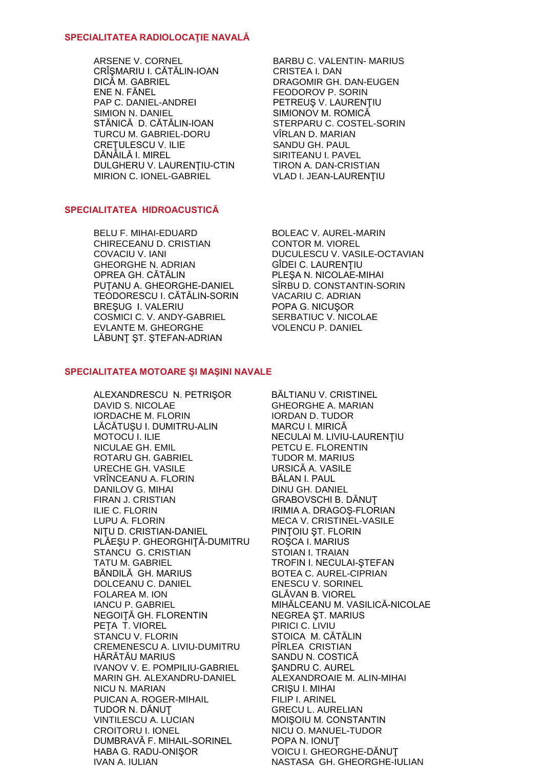### **SPECIALITATEA RADIOLOCAŢIE NAVALĂ**

ARSENE V. CORNEL BARBU C. VALENTIN- MARIUS CRÎŞMARIU I. CĂTĂLIN-IOAN CRISTEA I. DAN DICĂ M. GABRIEL DRAGOMIR GH. DAN-EUGEN ENE N. FĂNEL FEODOROV P. SORIN PAP C. DANIEL-ANDREI PETREUŞ V. LAURENȚIU SIMION N. DANIEL SIMIONOV M. ROMICĂ STĂNICĂ D. CĂTĂLIN-IOAN STERPARU C. COSTEL-SORIN TURCU M. GABRIEL-DORU VÎRLAN D. MARIAN CREȚULESCU V. ILIE SANDU GH. PAUL DĂNĂILĂ I. MIREL SIRITEANU I. PAVEL DULGHERU V. LAURENTIU-CTIN TIRON A. DAN-CRISTIAN MIRION C. IONEL-GABRIEL VLAD I. JEAN-LAURENŢIU

## **SPECIALITATEA HIDROACUSTICĂ**

BELU F. MIHAI-EDUARD BOLEAC V. AUREL-MARIN CHIRECEANU D. CRISTIAN CONTOR M. VIOREL GHEORGHE N. ADRIAN GÎDEI C. LAURENŢIU PUŢANU A. GHEORGHE-DANIEL SÎRBU D. CONSTANTIN-SORIN TEODORESCU I. CĂTĂLIN-SORIN VACARIU C. ADRIAN BREŞUG I. VALERIU POPA G. NICUŞOR COSMICI C. V. ANDY-GABRIEL SERBATIUC V. NICOLAE EVLANTE M. GHEORGHE VOLENCU P. DANIEL LĂBUNŢ ŞT. ŞTEFAN-ADRIAN

COVACIU V. IANI DUCULESCU V. VASILE-OCTAVIAN PLESA N. NICOLAE-MIHAI

### **SPECIALITATEA MOTOARE ŞI MAŞINI NAVALE**

ALEXANDRESCU N. PETRIŞOR BĂLTIANU V. CRISTINEL DAVID S. NICOLAE GHEORGHE A. MARIAN IORDACHE M. FLORIN IORDAN D. TUDOR LĂCĂTUŞU I. DUMITRU-ALIN MARCU I. MIRICĂ MOTOCU I. ILIE NECULAI M. LIVIU-LAURENȚIU NICULAE GH. EMIL PETCU E. FLORENTIN ROTARU GH. GABRIEL TUDOR M. MARIUS URECHE GH. VASILE URSICĂ A. VASILE VRÎNCEANU A. FLORIN BĂLAN I. PAUL DANILOV G. MIHAI DINU GH. DANIEL FIRAN J. CRISTIAN GRABOVSCHI B. DĂNUŢ ILIE C. FLORIN IRIMIA A. DRAGOŞ-FLORIAN LUPU A. FLORIN MECA V. CRISTINEL-VASILE NIȚU D. CRISTIAN-DANIEL PINȚOIU ȘT. FLORIN PLĂEŞU P. GHEORGHIŢĂ-DUMITRU ROŞCA I. MARIUS STANCU G. CRISTIAN STOIAN I. TRAIAN TATU M. GABRIEL TATU M. GABRIEL BĂNDILĂ GH. MARIUS BOTEA C. AUREL-CIPRIAN DOLCEANU C. DANIEL ENESCU V. SORINEL FOLAREA M. ION GLĂVAN B. VIOREL IANCU P. GABRIEL MIHĂLCEANU M. VASILICĂ-NICOLAE NEGOIȚĂ GH. FLORENTIN NEGREA ȘT. MARIUS PETA T. VIOREL PIRICI C. LIVIU STANCU V. FLORIN STOICA M. CĂTĂLIN CREMENESCU A. LIVIU-DUMITRU PÎRLEA CRISTIAN HĂRĂTĂU MARIUS SANDU N. COSTICĂ IVANOV V. E. POMPILIU-GABRIEL SANDRU C. AUREL MARIN GH. ALEXANDRU-DANIEL ALEXANDROAIE M. ALIN-MIHAI NICU N. MARIAN CRIŞU I. MIHAI PUICAN A. ROGER-MIHAIL FILIP I. ARINEL TUDOR N. DĂNUȚ GRECU L. AURELIAN VINTILESCU A. LUCIAN MOIŞOIU M. CONSTANTIN CROITORU I. IONEL NICU O. MANUEL-TUDOR DUMBRAVĂ F. MIHAIL-SORINEL POPA N. IONUŢ HABA G. RADU-ONIŞOR VOICU I. GHEORGHE-DĂNUŢ IVAN A. IULIAN NASTASA GH. GHEORGHE-IULIAN